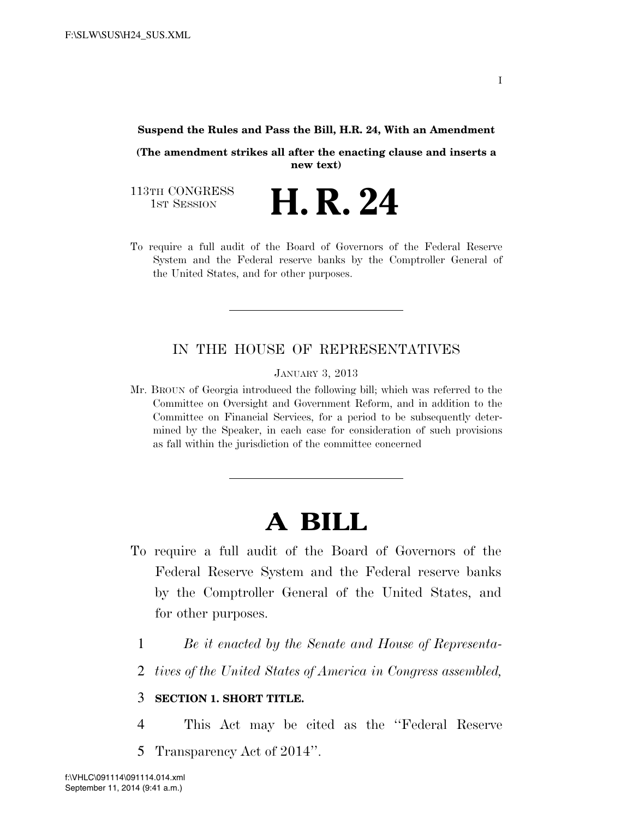## **Suspend the Rules and Pass the Bill, H.R. 24, With an Amendment**

**(The amendment strikes all after the enacting clause and inserts a new text)** 

113TH CONGRESS<br>1st Session

- H. R. 24
- To require a full audit of the Board of Governors of the Federal Reserve System and the Federal reserve banks by the Comptroller General of the United States, and for other purposes.

## IN THE HOUSE OF REPRESENTATIVES

JANUARY 3, 2013

Mr. BROUN of Georgia introduced the following bill; which was referred to the Committee on Oversight and Government Reform, and in addition to the Committee on Financial Services, for a period to be subsequently determined by the Speaker, in each case for consideration of such provisions as fall within the jurisdiction of the committee concerned

## **A BILL**

- To require a full audit of the Board of Governors of the Federal Reserve System and the Federal reserve banks by the Comptroller General of the United States, and for other purposes.
	- 1 *Be it enacted by the Senate and House of Representa-*
	- 2 *tives of the United States of America in Congress assembled,*

## 3 **SECTION 1. SHORT TITLE.**

- 4 This Act may be cited as the ''Federal Reserve
- 5 Transparency Act of 2014''.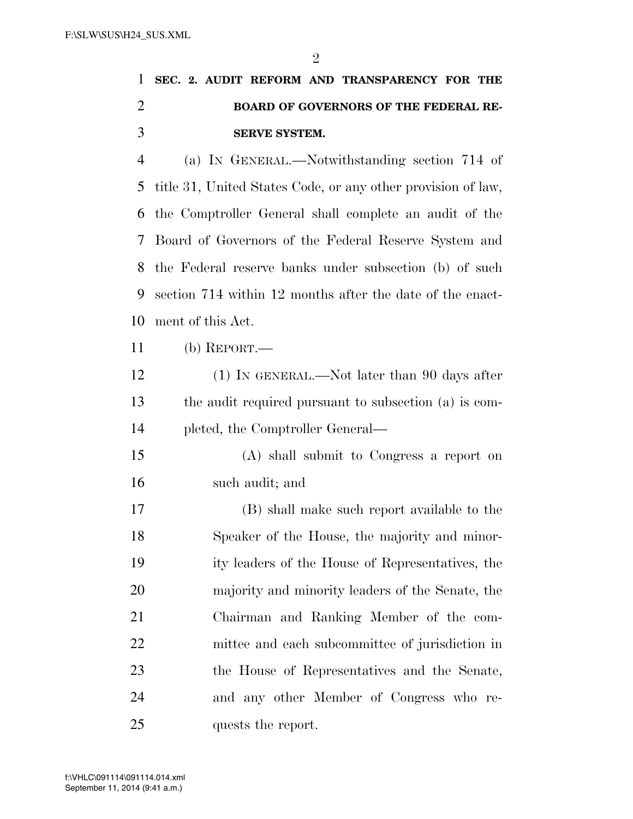|  |  |               | 1 SEC. 2. AUDIT REFORM AND TRANSPARENCY FOR THE |  |
|--|--|---------------|-------------------------------------------------|--|
|  |  |               | <b>BOARD OF GOVERNORS OF THE FEDERAL RE-</b>    |  |
|  |  | SERVE SYSTEM. |                                                 |  |

 (a) IN GENERAL.—Notwithstanding section 714 of title 31, United States Code, or any other provision of law, the Comptroller General shall complete an audit of the Board of Governors of the Federal Reserve System and the Federal reserve banks under subsection (b) of such section 714 within 12 months after the date of the enact-ment of this Act.

(b) REPORT.—

12 (1) IN GENERAL.—Not later than 90 days after the audit required pursuant to subsection (a) is com-pleted, the Comptroller General—

 (A) shall submit to Congress a report on such audit; and

 (B) shall make such report available to the Speaker of the House, the majority and minor- ity leaders of the House of Representatives, the majority and minority leaders of the Senate, the Chairman and Ranking Member of the com- mittee and each subcommittee of jurisdiction in the House of Representatives and the Senate, and any other Member of Congress who re-25 quests the report.